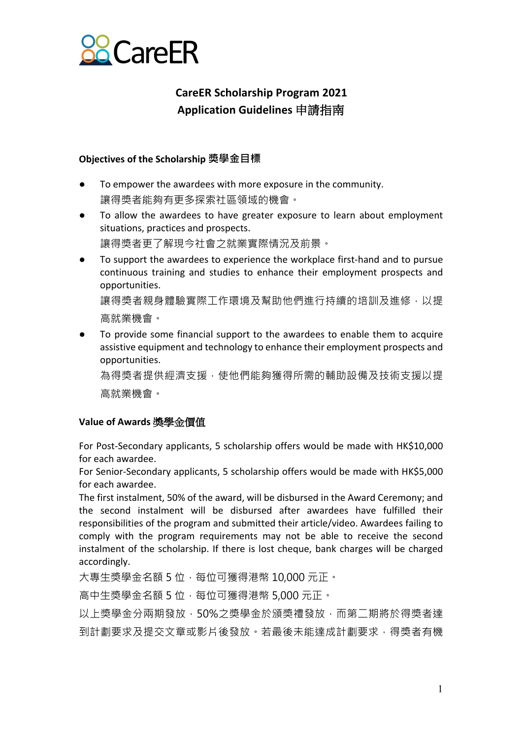

# **CareER Scholarship Program 2021 Application Guidelines** 申請指南

### **Objectives of the Scholarship 獎學金目標**

- To empower the awardees with more exposure in the community. 讓得獎者能夠有更多探索社區領域的機會。
- To allow the awardees to have greater exposure to learn about employment situations, practices and prospects. 讓得獎者更了解現今社會之就業實際情況及前景。
- To support the awardees to experience the workplace first-hand and to pursue continuous training and studies to enhance their employment prospects and opportunities.

讓得獎者親身體驗實際工作環境及幫助他們進行持續的培訓及進修,以提 高就業機會。

To provide some financial support to the awardees to enable them to acquire assistive equipment and technology to enhance their employment prospects and opportunities.

為得獎者提供經濟支援,使他們能夠獲得所需的輔助設備及技術支援以提 高就業機會。

### **Value of Awards** 獎學金價值

For Post-Secondary applicants, 5 scholarship offers would be made with HK\$10,000 for each awardee.

For Senior-Secondary applicants, 5 scholarship offers would be made with HK\$5,000 for each awardee.

The first instalment, 50% of the award, will be disbursed in the Award Ceremony; and the second instalment will be disbursed after awardees have fulfilled their responsibilities of the program and submitted their article/video. Awardees failing to comply with the program requirements may not be able to receive the second instalment of the scholarship. If there is lost cheque, bank charges will be charged accordingly.

大專生獎學金名額 5 位,每位可獲得港幣 10,000 元正。

高中生獎學金名額 5 位,每位位可獲得港幣 5,000 元正。

以上獎學金分兩期發放,50%之獎學金於頒獎禮發放,而第二期將於得獎者達 到計劃要求及提交文章或影片後發放。若最後未能達成計劃要求,得獎者有機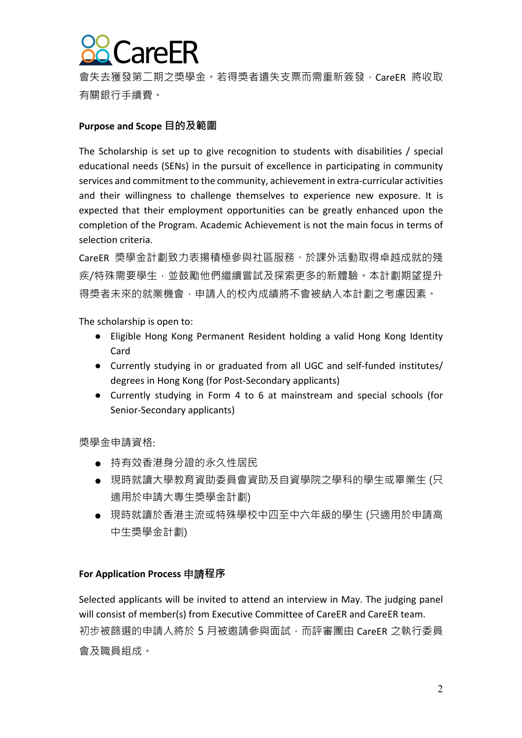

會失去獲發第二期之獎學金。若得獎者遺失支票而需重新簽發, CareER 將收取 有關銀行手續費。

#### **Purpose and Scope ⽬的及範圍**

The Scholarship is set up to give recognition to students with disabilities / special educational needs (SENs) in the pursuit of excellence in participating in community services and commitment to the community, achievement in extra-curricular activities and their willingness to challenge themselves to experience new exposure. It is expected that their employment opportunities can be greatly enhanced upon the completion of the Program. Academic Achievement is not the main focus in terms of selection criteria.

CareER 獎學金計劃致力表揚積極參與社區服務、於課外活動取得卓越成就的殘 疾/特殊需要學生,並鼓勵他們繼續嘗試及探索更多的新體驗。本計劃期望提升 得獎者未來的就業機會,申請人的校內成績將不會被納入本計劃之考慮因素。

The scholarship is open to:

- Eligible Hong Kong Permanent Resident holding a valid Hong Kong Identity Card
- Currently studying in or graduated from all UGC and self-funded institutes/ degrees in Hong Kong (for Post-Secondary applicants)
- Currently studying in Form 4 to 6 at mainstream and special schools (for Senior-Secondary applicants)

獎學金申請資格:

- 持有效香港身分證的永久性居民
- 現時就讀大學教育資助委員會資助及自資學院之學科的學生或畢業生 (只 適用於申請大專生獎學金計劃)
- 現時就讀於香港主流或特殊學校中四至中六年級的學生 (只適用於申請高 中⽣獎學⾦計劃)

#### **For Application Process** 申請**程序**

Selected applicants will be invited to attend an interview in May. The judging panel will consist of member(s) from Executive Committee of CareER and CareER team. 初步被篩選的申請人將於 5 月被激請參與面試,而評審團由 CareER 之執行委員 會及職員組成。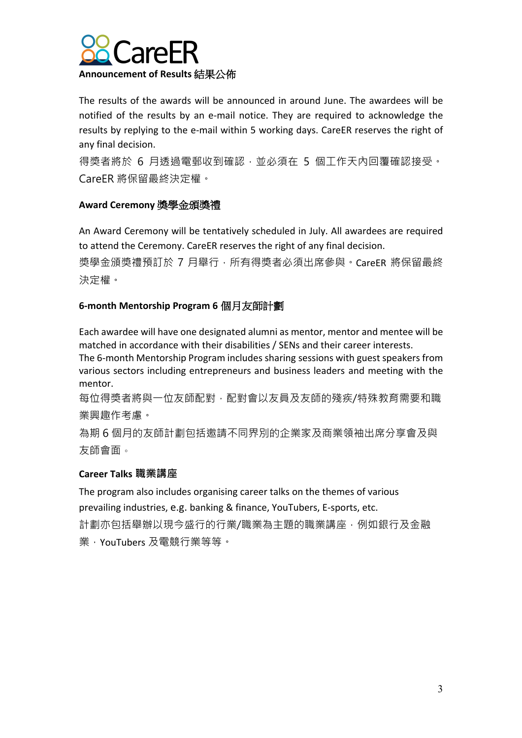

The results of the awards will be announced in around June. The awardees will be notified of the results by an e-mail notice. They are required to acknowledge the results by replying to the e-mail within 5 working days. CareER reserves the right of any final decision.

得獎者將於 6 月诱過電郵收到確認, 並必須在 5 個工作天內回覆確認接受。 CareER 將保留最終決定權。

# **Award Ceremony** 獎學金頒獎禮

An Award Ceremony will be tentatively scheduled in July. All awardees are required to attend the Ceremony. CareER reserves the right of any final decision.

獎學金頒獎禮預訂於 7 月舉行,所有得獎者必須出席參與。CareER 將保留最終 決定權。

## **6-month Mentorship Program 6** 個月友師計劃

Each awardee will have one designated alumni as mentor, mentor and mentee will be matched in accordance with their disabilities / SENs and their career interests.

The 6-month Mentorship Program includes sharing sessions with guest speakers from various sectors including entrepreneurs and business leaders and meeting with the mentor.

每位得獎者將與⼀位友師配對,配對會以友員及友師的殘疾/特殊教育需要和職 業興趣作考慮。

為期 6 個月的友師計劃包括激請不同界別的企業家及商業領袖出席分享會及與 友師會⾯。

### **Career Talks 職業講座**

The program also includes organising career talks on the themes of various prevailing industries, e.g. banking & finance, YouTubers, E-sports, etc. 計劃亦包括舉辦以現今盛行的行業/職業為主題的職業講座,例如銀行及金融 業,YouTubers 及電競⾏業等等。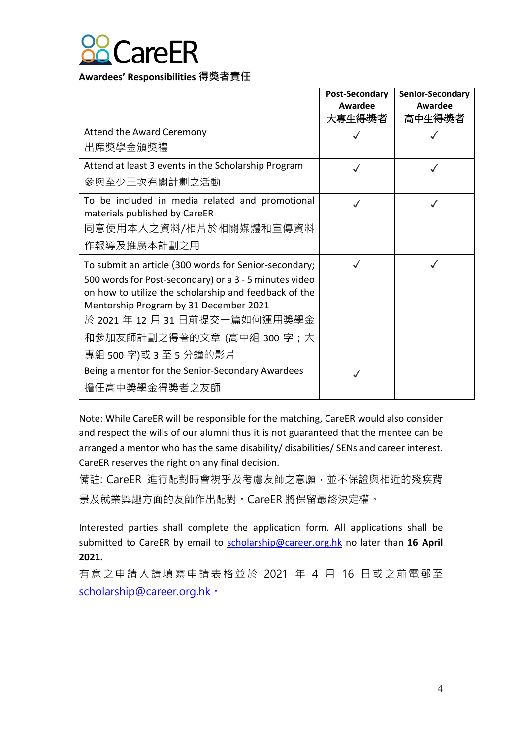

**Awardees' Responsibilities 得獎者責任**

|                                                                                                                                                                                                                                                                                                              | <b>Post-Secondary</b><br>Awardee<br>大專生得獎者 | Senior-Secondary<br>Awardee<br>高中生得獎者 |
|--------------------------------------------------------------------------------------------------------------------------------------------------------------------------------------------------------------------------------------------------------------------------------------------------------------|--------------------------------------------|---------------------------------------|
| <b>Attend the Award Ceremony</b><br>出席獎學金頒獎禮                                                                                                                                                                                                                                                                 |                                            |                                       |
| Attend at least 3 events in the Scholarship Program<br>參與至少三次有關計劃之活動                                                                                                                                                                                                                                         |                                            |                                       |
| To be included in media related and promotional<br>materials published by CareER<br>同意使用本人之資料/相片於相關媒體和宣傳資料<br>作報導及推廣本計劃之用                                                                                                                                                                                    |                                            |                                       |
| To submit an article (300 words for Senior-secondary;<br>500 words for Post-secondary) or a 3 - 5 minutes video<br>on how to utilize the scholarship and feedback of the<br>Mentorship Program by 31 December 2021<br>於 2021 年 12 月 31 日前提交一篇如何運用獎學金<br>和參加友師計劃之得著的文章 (高中組 300 字;大<br>專組 500 字)或 3 至 5 分鐘的影片 |                                            |                                       |
| Being a mentor for the Senior-Secondary Awardees<br>擔任高中獎學金得獎者之友師                                                                                                                                                                                                                                            |                                            |                                       |

Note: While CareER will be responsible for the matching, CareER would also consider and respect the wills of our alumni thus it is not guaranteed that the mentee can be arranged a mentor who has the same disability/ disabilities/ SENs and career interest. CareER reserves the right on any final decision.

備註: CareER 進行配對時會視乎及考慮友師之意願, 並不保證與相近的殘疾背 景及就業興趣⽅⾯的友師作出配對。CareER 將保留最終決定權。

Interested parties shall complete the application form. All applications shall be submitted to CareER by email to scholarship@career.org.hk no later than **16 April 2021.**

有意之申請人請填寫申請表格並於 2021 年 4 月 16 日或之前電郵至 scholarship@career.org.hk。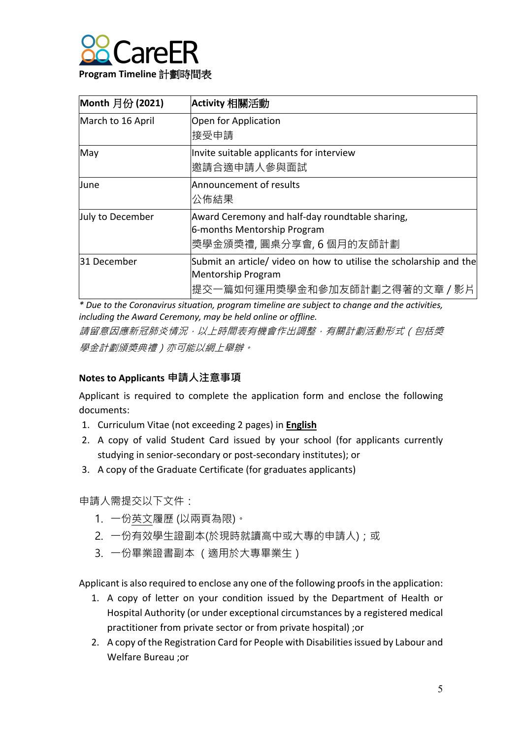

| Month 月份 (2021)   | Activity 相關活動                                                                                                            |
|-------------------|--------------------------------------------------------------------------------------------------------------------------|
| March to 16 April | Open for Application<br>接受申請                                                                                             |
| May               | Invite suitable applicants for interview<br>邀請合適申請人參與面試                                                                  |
| June              | Announcement of results<br>公佈結果                                                                                          |
| July to December  | Award Ceremony and half-day roundtable sharing,<br>6-months Mentorship Program<br> 奬學金頒獎禮, 圓桌分享會, 6 個月的友師計劃              |
| 31 December       | Submit an article/ video on how to utilise the scholarship and the<br>Mentorship Program<br> 提交一篇如何運用獎學金和參加友師計劃之得著的文章/影片 |

*\* Due to the Coronavirus situation, program timeline are subject to change and the activities, including the Award Ceremony, may be held online or offline.* 

請留意因應新冠肺炎情況,以上時間表有機會作出調整,有關計劃活動形式(包括獎 學金計劃頒獎典禮)亦可能以網上舉辦。

# **Notes to Applicants 申請人注意事項**

Applicant is required to complete the application form and enclose the following documents:

- 1. Curriculum Vitae (not exceeding 2 pages) in **English**
- 2. A copy of valid Student Card issued by your school (for applicants currently studying in senior-secondary or post-secondary institutes); or
- 3. A copy of the Graduate Certificate (for graduates applicants)

申請⼈需提交以下文件:

- 1. 一份英文履歷 (以兩頁為限)。
- 2. 一份有效學生證副本(於現時就讀高中或大專的申請人);或
- 3. 一份畢業證書副本 (適用於大專畢業生)

Applicant is also required to enclose any one of the following proofs in the application:

- 1. A copy of letter on your condition issued by the Department of Health or Hospital Authority (or under exceptional circumstances by a registered medical practitioner from private sector or from private hospital) ;or
- 2. A copy of the Registration Card for People with Disabilities issued by Labour and Welfare Bureau ;or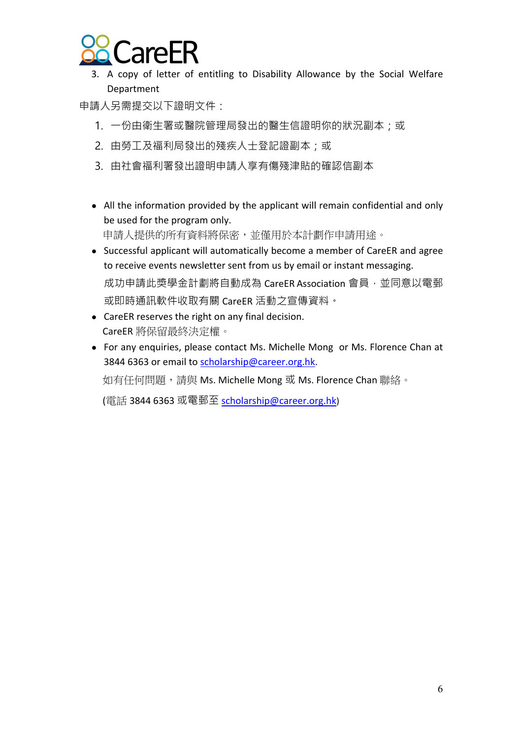

3. A copy of letter of entitling to Disability Allowance by the Social Welfare Department

申請⼈另需提交以下證明文件:

- 1. 一份由衛生署或醫院管理局發出的醫生信證明你的狀況副本;或
- 2. 由勞工及福利局發出的殘疾人士登記證副本;或
- 3. 由社會福利署發出證明申請⼈享有傷殘津貼的確認信副本
- All the information provided by the applicant will remain confidential and only be used for the program only. 申請人提供的所有資料將保密,並僅用於本計劃作申請用途。
- Successful applicant will automatically become a member of CareER and agree to receive events newsletter sent from us by email or instant messaging. 成功申請此獎學金計劃將自動成為 CareER Association 會員,並同意以電郵 或即時通訊軟件收取有關 CareER 活動之宣傳資料。
- CareER reserves the right on any final decision. CareER 將保留最終決定權。
- For any enquiries, please contact Ms. Michelle Mong or Ms. Florence Chan at 3844 6363 or email to scholarship@career.org.hk.

如有任何問題,請與 Ms. Michelle Mong 或 Ms. Florence Chan 聯絡。

(電話 3844 6363 或電郵至 scholarship@career.org.hk)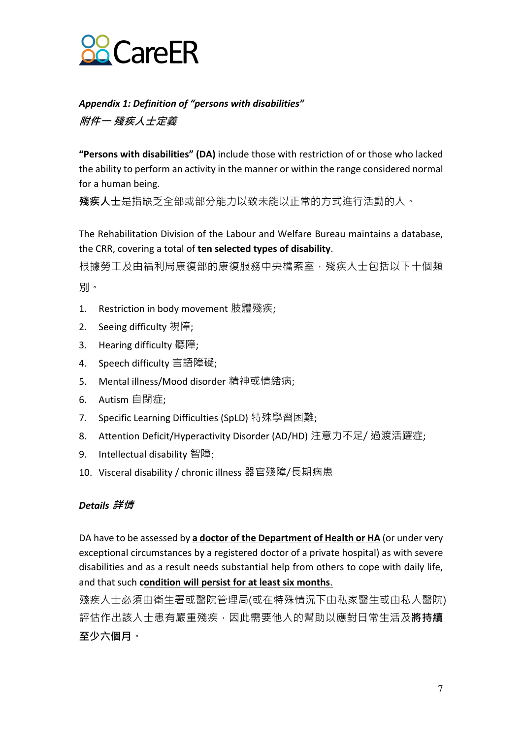

*Appendix 1: Definition of "persons with disabilities"*  **附件一 殘疾人士定義**

**"Persons with disabilities" (DA)** include those with restriction of or those who lacked the ability to perform an activity in the manner or within the range considered normal for a human being.

**殘疾人士**是指缺乏全部或部分能力以致未能以正常的方式進行活動的人。

The Rehabilitation Division of the Labour and Welfare Bureau maintains a database, the CRR, covering a total of **ten selected types of disability**.

根據勞工及由福利局康復部的康復服務中央檔案室,殘疾人士包括以下十個類 別。

- 1. Restriction in body movement 肢體殘疾;
- 2. Seeing difficulty 視障;
- 3. Hearing difficulty 聽障;
- 4. Speech difficulty 言語障礙;
- 5. Mental illness/Mood disorder 精神或情緒病;
- 6. Autism 自閉症;
- 7. Specific Learning Difficulties (SpLD) 特殊學習困難;
- 8. Attention Deficit/Hyperactivity Disorder (AD/HD) 注意力不足/ 過渡活躍症;
- 9. Intellectual disability 智障;
- 10. Visceral disability / chronic illness 器官殘障/長期病患

### *Details* **詳情**

DA have to be assessed by **a doctor of the Department of Health or HA** (or under very exceptional circumstances by a registered doctor of a private hospital) as with severe disabilities and as a result needs substantial help from others to cope with daily life, and that such **condition will persist for at least six months**.

殘疾人士必須由衛生署或醫院管理局(或在特殊情況下由私家醫生或由私人醫院) 評估作出該人士患有嚴重殘疾,因此需要他人的幫助以應對日常生活及**將持續 至少六個月**。